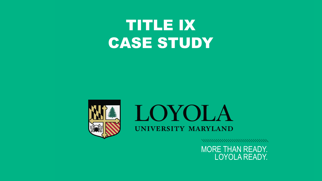## TITLE IX CASE STUDY





,,,,,,,,,,,,,,,,,,,,,,,,,,,,,,,

MORE THAN READY. MORE THAN READY. LOYOLA READY. LOYOLA READY.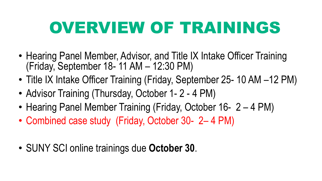## OVERVIEW OF TRAININGS

- Hearing Panel Member, Advisor, and Title IX Intake Officer Training (Friday, September 18- 11 AM – 12:30 PM)
- Title IX Intake Officer Training (Friday, September 25- 10 AM –12 PM)
- Advisor Training (Thursday, October 1-2 4 PM)
- Hearing Panel Member Training (Friday, October 16- 2 4 PM)
- Combined case study (Friday, October 30- 2– 4 PM)
- SUNY SCI online trainings due **October 30**.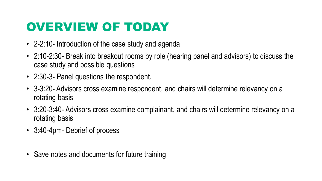## OVERVIEW OF TODAY

- 2-2:10- Introduction of the case study and agenda
- 2:10-2:30- Break into breakout rooms by role (hearing panel and advisors) to discuss the case study and possible questions
- 2:30-3- Panel questions the respondent.
- 3-3:20- Advisors cross examine respondent, and chairs will determine relevancy on a rotating basis
- 3:20-3:40- Advisors cross examine complainant, and chairs will determine relevancy on a rotating basis
- 3:40-4pm- Debrief of process
- Save notes and documents for future training